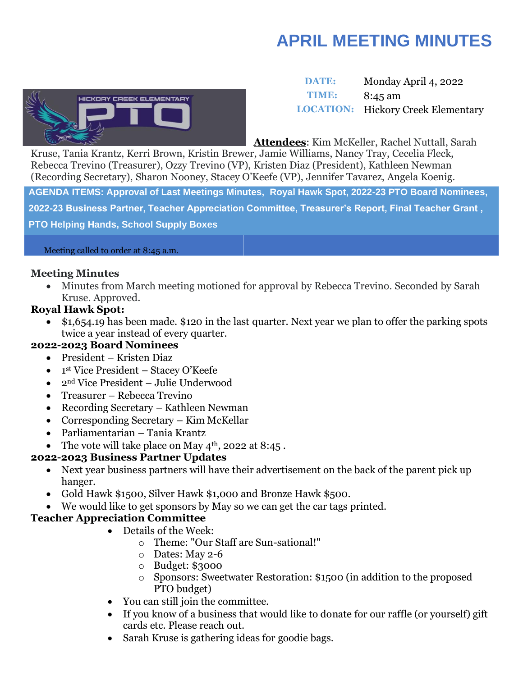# **APRIL MEETING MINUTES**



 **DATE:** Monday April 4, 2022 **TIME:** 8:45 am **LOCATION:** Hickory Creek Elementary

**Attendees**: Kim McKeller, Rachel Nuttall, Sarah

Kruse, Tania Krantz, Kerri Brown, Kristin Brewer, Jamie Williams, Nancy Tray, Cecelia Fleck, Rebecca Trevino (Treasurer), Ozzy Trevino (VP), Kristen Diaz (President), Kathleen Newman (Recording Secretary), Sharon Nooney, Stacey O'Keefe (VP), Jennifer Tavarez, Angela Koenig.

**AGENDA ITEMS: Approval of Last Meetings Minutes, Royal Hawk Spot, 2022-23 PTO Board Nominees,** 

**2022-23 Business Partner, Teacher Appreciation Committee, Treasurer's Report, Final Teacher Grant ,** 

**PTO Helping Hands, School Supply Boxes** 

#### Meeting called to order at 8:45 a.m.

### **Meeting Minutes**

• Minutes from March meeting motioned for approval by Rebecca Trevino. Seconded by Sarah Kruse. Approved.

## **Royal Hawk Spot:**

• \$1,654.19 has been made. \$120 in the last quarter. Next year we plan to offer the parking spots twice a year instead of every quarter.

## **2022-2023 Board Nominees**

- President Kristen Diaz
- 1 st Vice President Stacey O'Keefe
- 2nd Vice President Julie Underwood
- Treasurer Rebecca Trevino
- Recording Secretary Kathleen Newman
- Corresponding Secretary Kim McKellar
- Parliamentarian Tania Krantz
- The vote will take place on May  $4^{\text{th}}$ , 2022 at 8:45.

## **2022-2023 Business Partner Updates**

- Next year business partners will have their advertisement on the back of the parent pick up hanger.
- Gold Hawk \$1500, Silver Hawk \$1,000 and Bronze Hawk \$500.
- We would like to get sponsors by May so we can get the car tags printed.

# **Teacher Appreciation Committee**

- Details of the Week:
	- o Theme: "Our Staff are Sun-sational!"
	- o Dates: May 2-6
	- o Budget: \$3000
	- o Sponsors: Sweetwater Restoration: \$1500 (in addition to the proposed PTO budget)
- You can still join the committee.
- If you know of a business that would like to donate for our raffle (or yourself) gift cards etc. Please reach out.
- Sarah Kruse is gathering ideas for goodie bags.